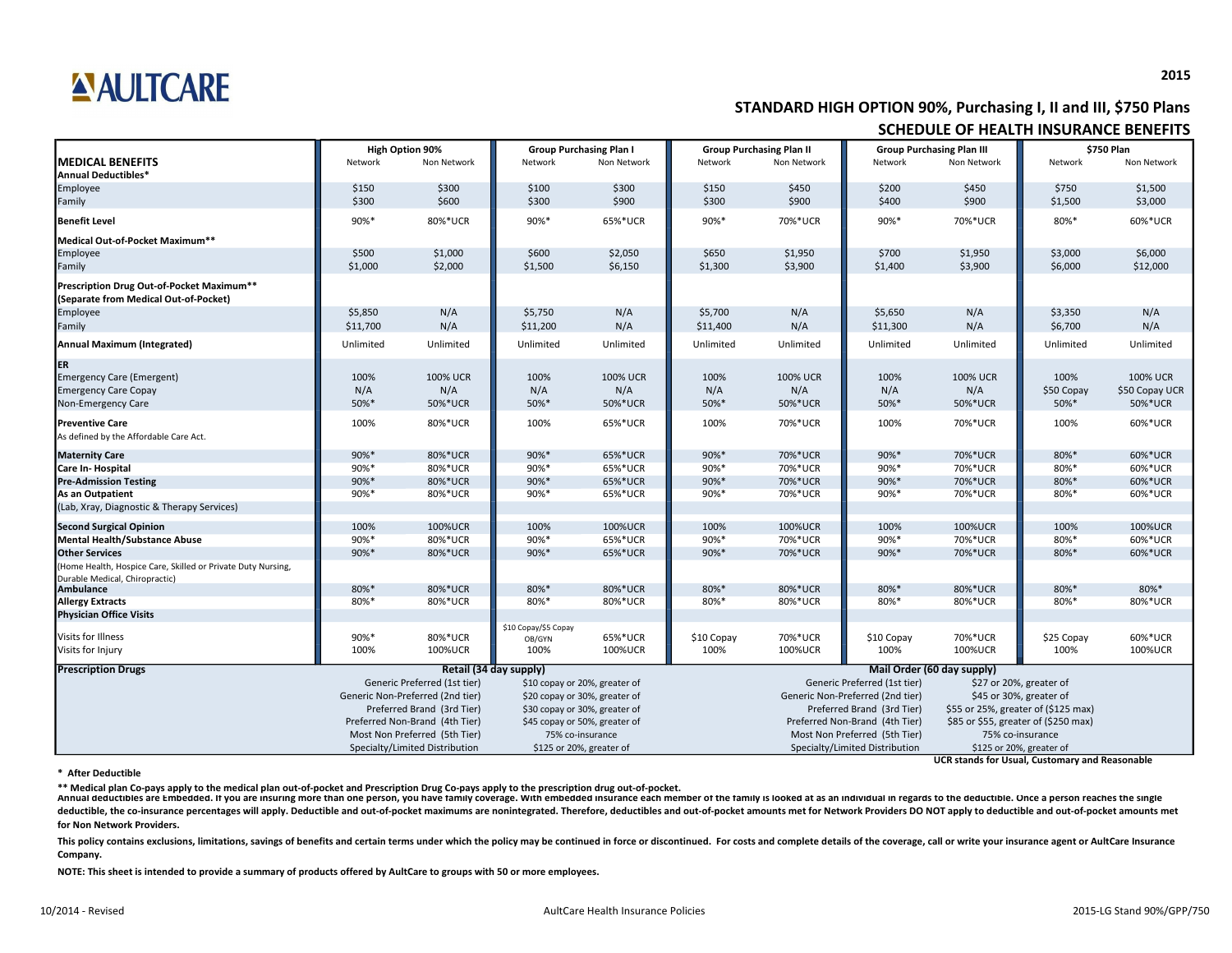### **2015**

Annual deductibles are Embedded. If you are insuring more than one person, you have family coverage. With embedded insurance each member of the family is looked at as an individual in regards to the deductible. Once a pers deductible, the co-insurance percentages will apply. Deductible and out-of-pocket maximums are nonintegrated. Therefore, deductibles and out-of-pocket amounts met for Network Providers DO NOT apply to deductible and out-of **for Non Network Providers.**

This policy contains exclusions, limitations, savings of benefits and certain terms under which the policy may be continued in force or discontinued. For costs and complete details of the coverage, call or write your insur **Company.**

|                                                                                    | <b>High Option 90%</b> |                                  | <b>Group Purchasing Plan I</b> |                               | <b>Group Purchasing Plan II</b> |                                | <b>Group Purchasing Plan III</b> |                                      | \$750 Plan                          |                 |  |
|------------------------------------------------------------------------------------|------------------------|----------------------------------|--------------------------------|-------------------------------|---------------------------------|--------------------------------|----------------------------------|--------------------------------------|-------------------------------------|-----------------|--|
| <b>MEDICAL BENEFITS</b><br><b>Annual Deductibles*</b>                              | Network                | Non Network                      | Network                        | Non Network                   | Network                         | Non Network                    | Network                          | Non Network                          | Network                             | Non Network     |  |
| Employee                                                                           | \$150                  | \$300                            | \$100                          | \$300                         | \$150                           | \$450                          | \$200                            | \$450                                | \$750                               | \$1,500         |  |
| Family                                                                             | \$300                  | \$600                            | \$300                          | \$900                         | \$300                           | \$900                          | \$400                            | \$900                                | \$1,500                             | \$3,000         |  |
| <b>Benefit Level</b>                                                               | 90%*                   | 80%*UCR                          | 90%*                           | 65%*UCR                       | 90%*                            | 70%*UCR                        | 90%*                             | 70%*UCR                              | 80%*                                | 60%*UCR         |  |
| Medical Out-of-Pocket Maximum**                                                    |                        |                                  |                                |                               |                                 |                                |                                  |                                      |                                     |                 |  |
| Employee                                                                           | \$500                  | \$1,000                          | \$600                          | \$2,050                       | \$650                           | \$1,950                        | \$700                            | \$1,950                              | \$3,000                             | \$6,000         |  |
| Family                                                                             | \$1,000                | \$2,000                          | \$1,500                        | \$6,150                       | \$1,300                         | \$3,900                        | \$1,400                          | \$3,900                              | \$6,000                             | \$12,000        |  |
| Prescription Drug Out-of-Pocket Maximum**<br>(Separate from Medical Out-of-Pocket) |                        |                                  |                                |                               |                                 |                                |                                  |                                      |                                     |                 |  |
| Employee                                                                           | \$5,850                | N/A                              | \$5,750                        | N/A                           | \$5,700                         | N/A                            | \$5,650                          | N/A                                  | \$3,350                             | N/A             |  |
| Family                                                                             | \$11,700               | N/A                              | \$11,200                       | N/A                           | \$11,400                        | N/A                            | \$11,300                         | N/A                                  | \$6,700                             | N/A             |  |
| <b>Annual Maximum (Integrated)</b>                                                 | Unlimited              | Unlimited                        | Unlimited                      | Unlimited                     | Unlimited                       | Unlimited                      | Unlimited                        | Unlimited                            | Unlimited                           | Unlimited       |  |
| ER                                                                                 |                        |                                  |                                |                               |                                 |                                |                                  |                                      |                                     |                 |  |
| <b>Emergency Care (Emergent)</b>                                                   | 100%                   | <b>100% UCR</b>                  | 100%                           | <b>100% UCR</b>               | 100%                            | <b>100% UCR</b>                | 100%                             | <b>100% UCR</b>                      | 100%                                | <b>100% UCR</b> |  |
| <b>Emergency Care Copay</b>                                                        | N/A                    | N/A                              | N/A                            | N/A                           | N/A                             | N/A                            | N/A                              | N/A                                  | \$50 Copay                          | \$50 Copay UCR  |  |
| Non-Emergency Care                                                                 | 50%*                   | 50%*UCR                          | 50%*                           | 50%*UCR                       | 50%*                            | 50%*UCR                        | 50%*                             | 50%*UCR                              | 50%*                                | 50%*UCR         |  |
| <b>Preventive Care</b>                                                             | 100%                   | 80%*UCR                          | 100%                           | 65%*UCR                       | 100%                            | 70%*UCR                        | 100%                             | 70%*UCR                              | 100%                                | 60%*UCR         |  |
| As defined by the Affordable Care Act.                                             |                        |                                  |                                |                               |                                 |                                |                                  |                                      |                                     |                 |  |
| <b>Maternity Care</b>                                                              | 90%*                   | 80%*UCR                          | 90%*                           | 65%*UCR                       | 90%*                            | 70%*UCR                        | 90%*                             | 70%*UCR                              | 80%*                                | 60%*UCR         |  |
| <b>Care In-Hospital</b>                                                            | 90%*                   | 80%*UCR                          | 90%*                           | 65%*UCR                       | 90%*                            | 70%*UCR                        | 90%*                             | 70%*UCR                              | 80%*                                | 60%*UCR         |  |
| <b>Pre-Admission Testing</b>                                                       | 90%*                   | 80%*UCR                          | 90%*                           | 65%*UCR                       | 90%*                            | 70%*UCR                        | 90%*                             | 70%*UCR                              | 80%*                                | 60%*UCR         |  |
| As an Outpatient                                                                   | 90%*                   | 80%*UCR                          | 90%*                           | 65%*UCR                       | 90%*                            | 70%*UCR                        | 90%*                             | 70%*UCR                              | 80%*                                | 60%*UCR         |  |
| (Lab, Xray, Diagnostic & Therapy Services)                                         |                        |                                  |                                |                               |                                 |                                |                                  |                                      |                                     |                 |  |
| <b>Second Surgical Opinion</b>                                                     | 100%                   | 100%UCR                          | 100%                           | 100%UCR                       | 100%                            | 100%UCR                        | 100%                             | 100%UCR                              | 100%                                | 100%UCR         |  |
| <b>Mental Health/Substance Abuse</b>                                               | 90%*                   | 80%*UCR                          | 90%*                           | 65%*UCR                       | 90%*                            | 70%*UCR                        | 90%*                             | 70%*UCR                              | 80%*                                | 60%*UCR         |  |
| <b>Other Services</b>                                                              | 90%*                   | 80%*UCR                          | 90%*                           | 65%*UCR                       | 90%*                            | 70%*UCR                        | 90%*                             | 70%*UCR                              | 80%*                                | 60%*UCR         |  |
| (Home Health, Hospice Care, Skilled or Private Duty Nursing,                       |                        |                                  |                                |                               |                                 |                                |                                  |                                      |                                     |                 |  |
| Durable Medical, Chiropractic)                                                     |                        |                                  |                                |                               |                                 |                                |                                  |                                      |                                     |                 |  |
| <b>Ambulance</b>                                                                   | 80%*                   | 80%*UCR                          | 80%*                           | 80%*UCR                       | 80%*                            | 80%*UCR                        | 80%*                             | 80%*UCR                              | 80%*                                | 80%*            |  |
| <b>Allergy Extracts</b>                                                            | 80%*                   | 80%*UCR                          | 80%*                           | 80%*UCR                       | 80%*                            | 80%*UCR                        | 80%*                             | 80%*UCR                              | 80%*                                | 80%*UCR         |  |
| <b>Physician Office Visits</b>                                                     |                        |                                  |                                |                               |                                 |                                |                                  |                                      |                                     |                 |  |
| Visits for Illness                                                                 | 90%*                   | 80%*UCR                          | \$10 Copay/\$5 Copay<br>OB/GYN | 65%*UCR                       | \$10 Copay                      | 70%*UCR                        | \$10 Copay                       | 70%*UCR                              | \$25 Copay                          | 60%*UCR         |  |
| Visits for Injury                                                                  | 100%                   | 100%UCR                          | 100%                           | 100%UCR                       | 100%                            | 100%UCR                        | 100%                             | 100%UCR                              | 100%                                | 100%UCR         |  |
| <b>Prescription Drugs</b>                                                          |                        |                                  | Retail (34 day supply)         |                               |                                 | Mail Order (60 day supply)     |                                  |                                      |                                     |                 |  |
|                                                                                    |                        | Generic Preferred (1st tier)     | \$10 copay or 20%, greater of  |                               |                                 |                                | Generic Preferred (1st tier)     |                                      | \$27 or 20%, greater of             |                 |  |
|                                                                                    |                        | Generic Non-Preferred (2nd tier) |                                | \$20 copay or 30%, greater of |                                 |                                | Generic Non-Preferred (2nd tier) |                                      | \$45 or 30%, greater of             |                 |  |
|                                                                                    |                        | Preferred Brand (3rd Tier)       |                                | \$30 copay or 30%, greater of |                                 |                                | Preferred Brand (3rd Tier)       |                                      | \$55 or 25%, greater of (\$125 max) |                 |  |
|                                                                                    |                        | Preferred Non-Brand (4th Tier)   |                                | \$45 copay or 50%, greater of |                                 | Preferred Non-Brand (4th Tier) |                                  | \$85 or \$55, greater of (\$250 max) |                                     |                 |  |
|                                                                                    |                        | Most Non Preferred (5th Tier)    |                                | 75% co-insurance              |                                 | Most Non Preferred (5th Tier)  |                                  | 75% co-insurance                     |                                     |                 |  |
|                                                                                    |                        | Specialty/Limited Distribution   |                                | \$125 or 20%, greater of      | Specialty/Limited Distribution  |                                |                                  |                                      | \$125 or 20%, greater of            |                 |  |
|                                                                                    |                        |                                  |                                |                               |                                 |                                |                                  |                                      |                                     |                 |  |

**UCR stands for Usual, Customary and Reasonable**

#### **\* After Deductible**

**NOTE: This sheet is intended to provide a summary of products offered by AultCare to groups with 50 or more employees.**

# **ANJLTCARE**

## **STANDARD HIGH OPTION 90%, Purchasing I, II and III, \$750 Plans SCHEDULE OF HEALTH INSURANCE BENEFITS**

**\*\* Medical plan Co-pays apply to the medical plan out-of-pocket and Prescription Drug Co-pays apply to the prescription drug out-of-pocket.**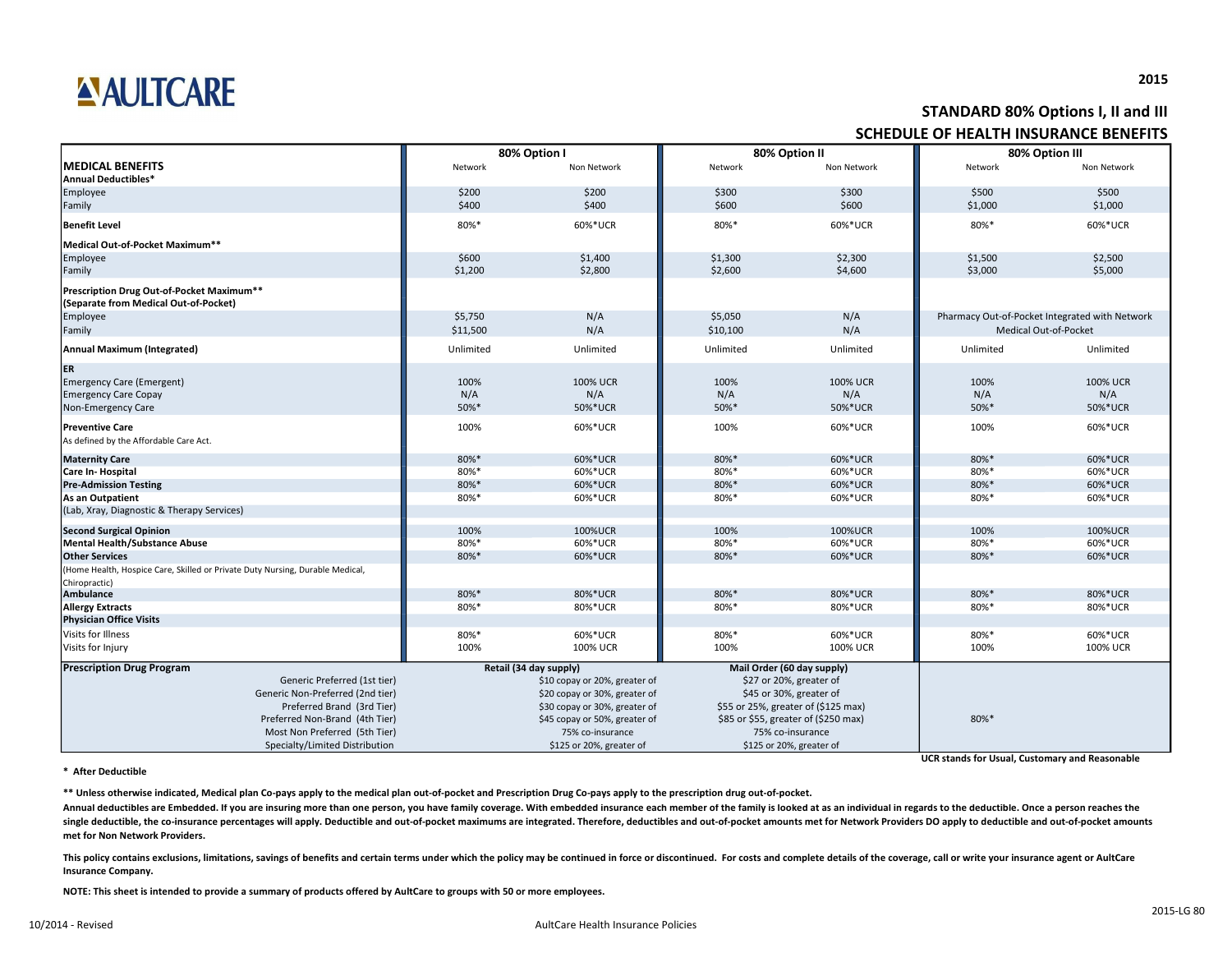### **2015**

Annual deductibles are Embedded. If you are insuring more than one person, you have family coverage. With embedded insurance each member of the family is looked at as an individual in regards to the deductible. Once a pers single deductible, the co-insurance percentages will apply. Deductible and out-of-pocket maximums are integrated. Therefore, deductibles and out-of-pocket amounts met for Network Providers DO apply to deductible and out-of **met for Non Network Providers.**

This policy contains exclusions, limitations, savings of benefits and certain terms under which the policy may be continued in force or discontinued. For costs and complete details of the coverage, call or write your insur **Insurance Company.**

# AULTCARE

|                                                                                    |                               |                                                   |           |                                      | SCHEDULE OF HEALTH INSURANCE BENEFITS |                                                |  |  |
|------------------------------------------------------------------------------------|-------------------------------|---------------------------------------------------|-----------|--------------------------------------|---------------------------------------|------------------------------------------------|--|--|
|                                                                                    |                               | 80% Option I                                      |           | 80% Option II                        |                                       | 80% Option III                                 |  |  |
| <b>MEDICAL BENEFITS</b><br>Annual Deductibles*                                     | Network                       | Non Network                                       | Network   | Non Network                          | Network                               | Non Network                                    |  |  |
| Employee                                                                           | \$200                         | \$200                                             | \$300     | \$300                                | \$500                                 | \$500                                          |  |  |
| Family                                                                             | \$400                         | \$400                                             | \$600     | \$600                                | \$1,000                               | \$1,000                                        |  |  |
| <b>Benefit Level</b>                                                               | 80%*                          | 60%*UCR                                           | 80%*      | 60%*UCR                              | 80%*                                  | 60%*UCR                                        |  |  |
| Medical Out-of-Pocket Maximum**                                                    |                               |                                                   |           |                                      |                                       |                                                |  |  |
| Employee                                                                           | \$600                         | \$1,400                                           | \$1,300   | \$2,300                              | \$1,500                               | \$2,500                                        |  |  |
| Family                                                                             | \$1,200                       | \$2,800                                           | \$2,600   | \$4,600                              | \$3,000                               | \$5,000                                        |  |  |
| Prescription Drug Out-of-Pocket Maximum**<br>(Separate from Medical Out-of-Pocket) |                               |                                                   |           |                                      |                                       |                                                |  |  |
| Employee                                                                           | \$5,750                       | N/A                                               | \$5,050   | N/A                                  |                                       | Pharmacy Out-of-Pocket Integrated with Network |  |  |
| Family                                                                             | \$11,500                      | N/A                                               | \$10,100  | N/A                                  |                                       | Medical Out-of-Pocket                          |  |  |
| Annual Maximum (Integrated)                                                        | Unlimited                     | Unlimited                                         | Unlimited | Unlimited                            | Unlimited                             | Unlimited                                      |  |  |
| <b>ER</b>                                                                          |                               |                                                   |           |                                      |                                       |                                                |  |  |
| Emergency Care (Emergent)                                                          | 100%                          | <b>100% UCR</b>                                   | 100%      | <b>100% UCR</b>                      | 100%                                  | <b>100% UCR</b>                                |  |  |
| <b>Emergency Care Copay</b>                                                        | N/A                           | N/A                                               | N/A       | N/A                                  | N/A                                   | N/A                                            |  |  |
| Non-Emergency Care                                                                 | 50%*                          | 50%*UCR                                           | 50%*      | 50%*UCR                              | 50%*                                  | 50%*UCR                                        |  |  |
| <b>Preventive Care</b><br>As defined by the Affordable Care Act.                   | 100%                          | 60%*UCR                                           | 100%      | 60%*UCR                              | 100%                                  | 60%*UCR                                        |  |  |
| <b>Maternity Care</b>                                                              | 80%*                          | 60%*UCR                                           | 80%*      | 60%*UCR                              | 80%*                                  | 60%*UCR                                        |  |  |
| Care In-Hospital                                                                   | 80%*                          | 60%*UCR                                           | 80%*      | 60%*UCR                              | 80%*                                  | 60%*UCR                                        |  |  |
| <b>Pre-Admission Testing</b>                                                       | 80%*                          | 60%*UCR                                           | 80%*      | 60%*UCR                              | 80%*                                  | 60%*UCR                                        |  |  |
| As an Outpatient                                                                   | 80%*                          | 60%*UCR                                           | 80%*      | 60%*UCR                              | 80%*                                  | 60%*UCR                                        |  |  |
| (Lab, Xray, Diagnostic & Therapy Services)                                         |                               |                                                   |           |                                      |                                       |                                                |  |  |
| <b>Second Surgical Opinion</b>                                                     | 100%                          | 100%UCR                                           | 100%      | 100%UCR                              | 100%                                  | 100%UCR                                        |  |  |
| Mental Health/Substance Abuse                                                      | 80%*                          | 60%*UCR                                           | 80%*      | 60%*UCR                              | 80%*                                  | 60%*UCR                                        |  |  |
| <b>Other Services</b>                                                              | 80%*                          | 60%*UCR                                           | 80%*      | 60%*UCR                              | 80%*                                  | 60%*UCR                                        |  |  |
| (Home Health, Hospice Care, Skilled or Private Duty Nursing, Durable Medical,      |                               |                                                   |           |                                      |                                       |                                                |  |  |
| Chiropractic)<br>Ambulance                                                         | 80%*                          | 80%*UCR                                           | 80%*      | 80%*UCR                              | 80%*                                  | 80%*UCR                                        |  |  |
| <b>Allergy Extracts</b>                                                            | 80%*                          | 80%*UCR                                           | 80%*      | 80%*UCR                              | 80%*                                  | 80%*UCR                                        |  |  |
| <b>Physician Office Visits</b>                                                     |                               |                                                   |           |                                      |                                       |                                                |  |  |
| Visits for Illness                                                                 | 80%*                          | 60%*UCR                                           | 80%*      | 60%*UCR                              | 80%*                                  | 60%*UCR                                        |  |  |
| Visits for Injury                                                                  | 100%                          | <b>100% UCR</b>                                   | 100%      | <b>100% UCR</b>                      | 100%                                  | 100% UCR                                       |  |  |
|                                                                                    |                               |                                                   |           |                                      |                                       |                                                |  |  |
| <b>Prescription Drug Program</b>                                                   |                               | Retail (34 day supply)                            |           | Mail Order (60 day supply)           |                                       |                                                |  |  |
| Generic Preferred (1st tier)                                                       | \$10 copay or 20%, greater of |                                                   |           | \$27 or 20%, greater of              |                                       |                                                |  |  |
| Generic Non-Preferred (2nd tier)                                                   |                               | \$20 copay or 30%, greater of                     |           | \$45 or 30%, greater of              |                                       |                                                |  |  |
| Preferred Brand (3rd Tier)                                                         |                               | \$30 copay or 30%, greater of                     |           | \$55 or 25%, greater of (\$125 max)  |                                       |                                                |  |  |
| Preferred Non-Brand (4th Tier)                                                     |                               | \$45 copay or 50%, greater of<br>75% co-insurance |           | \$85 or \$55, greater of (\$250 max) | 80%*                                  |                                                |  |  |
| Most Non Preferred (5th Tier)<br>Specialty/Limited Distribution                    |                               | \$125 or 20%, greater of                          |           | 75% co-insurance                     |                                       |                                                |  |  |
|                                                                                    |                               |                                                   |           | \$125 or 20%, greater of             |                                       |                                                |  |  |

**UCR stands for Usual, Customary and Reasonable**

**\* After Deductible**

**NOTE: This sheet is intended to provide a summary of products offered by AultCare to groups with 50 or more employees.** 

**\*\* Unless otherwise indicated, Medical plan Co-pays apply to the medical plan out-of-pocket and Prescription Drug Co-pays apply to the prescription drug out-of-pocket.**

## **STANDARD 80% Options I, II and III SCHEDULE OF HEALTH INSURANCE BENEFITS**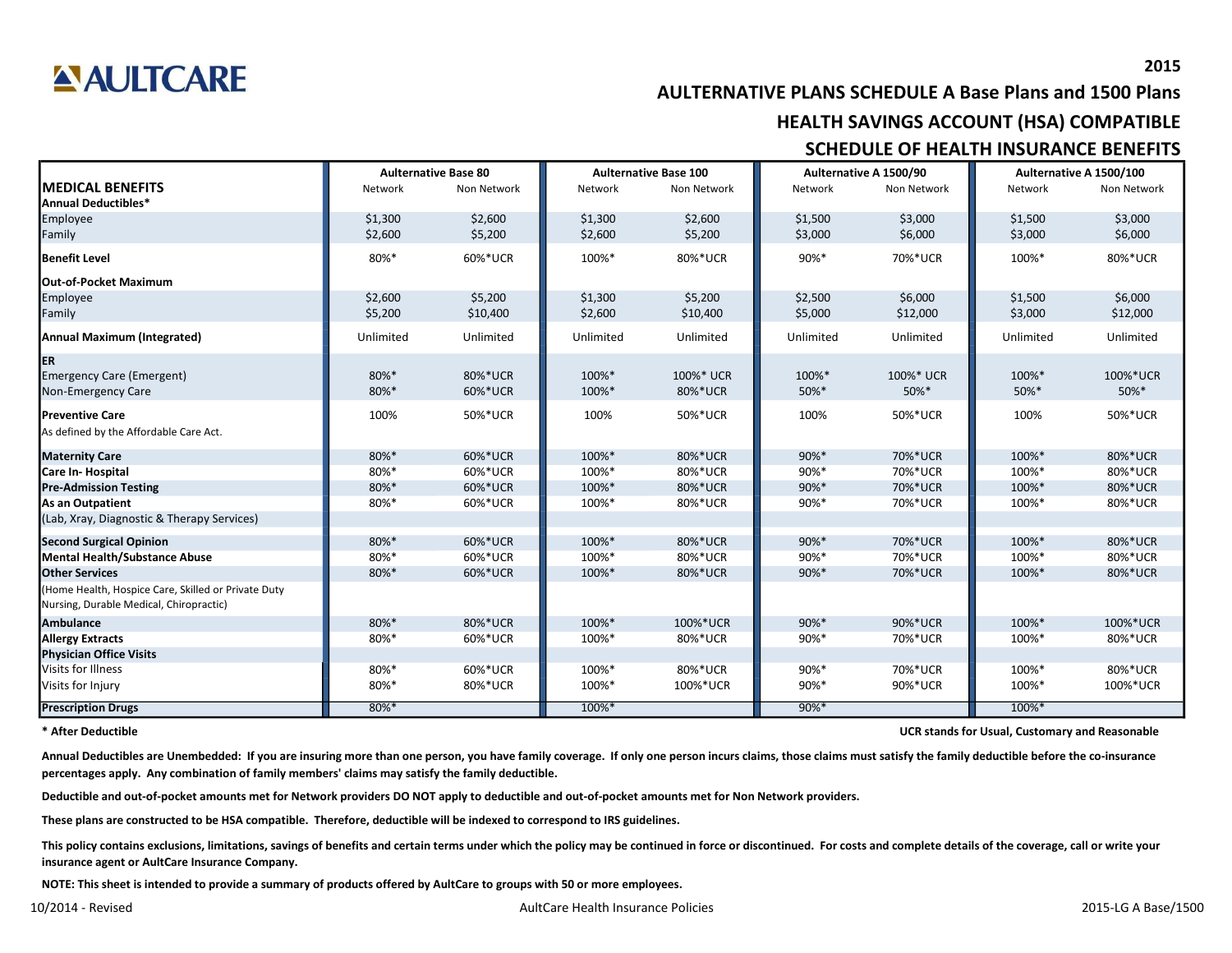

**AULTERNATIVE PLANS SCHEDULE A Base Plans and 1500 Plans SCHEDULE OF HEALTH INSURANCE BENEFITS HEALTH SAVINGS ACCOUNT (HSA) COMPATIBLE**

|                                                     | <b>Aulternative Base 80</b><br><b>Aulternative Base 100</b> |             |           |             | Aulternative A 1500/90 | Aulternative A 1500/100 |           |             |
|-----------------------------------------------------|-------------------------------------------------------------|-------------|-----------|-------------|------------------------|-------------------------|-----------|-------------|
| <b>MEDICAL BENEFITS</b>                             | Network                                                     | Non Network | Network   | Non Network | Network                | Non Network             | Network   | Non Network |
| <b>Annual Deductibles*</b>                          |                                                             |             |           |             |                        |                         |           |             |
| Employee                                            | \$1,300                                                     | \$2,600     | \$1,300   | \$2,600     | \$1,500                | \$3,000                 | \$1,500   | \$3,000     |
| Family                                              | \$2,600                                                     | \$5,200     | \$2,600   | \$5,200     | \$3,000                | \$6,000                 | \$3,000   | \$6,000     |
| <b>Benefit Level</b>                                | 80%*                                                        | 60%*UCR     | 100%*     | 80%*UCR     | 90%*                   | 70%*UCR                 | 100%*     | 80%*UCR     |
| <b>Out-of-Pocket Maximum</b>                        |                                                             |             |           |             |                        |                         |           |             |
| Employee                                            | \$2,600                                                     | \$5,200     | \$1,300   | \$5,200     | \$2,500                | \$6,000                 | \$1,500   | \$6,000     |
| Family                                              | \$5,200                                                     | \$10,400    | \$2,600   | \$10,400    | \$5,000                | \$12,000                | \$3,000   | \$12,000    |
| <b>Annual Maximum (Integrated)</b>                  | Unlimited                                                   | Unlimited   | Unlimited | Unlimited   | Unlimited              | Unlimited               | Unlimited | Unlimited   |
| <b>ER</b>                                           |                                                             |             |           |             |                        |                         |           |             |
| <b>Emergency Care (Emergent)</b>                    | 80%*                                                        | 80%*UCR     | 100%*     | 100%* UCR   | 100%*                  | 100%* UCR               | 100%*     | 100%*UCR    |
| Non-Emergency Care                                  | 80%*                                                        | 60%*UCR     | 100%*     | 80%*UCR     | 50%*                   | 50%*                    | 50%*      | 50%*        |
| <b>Preventive Care</b>                              | 100%                                                        | 50%*UCR     | 100%      | 50%*UCR     | 100%                   | 50%*UCR                 | 100%      | 50%*UCR     |
| As defined by the Affordable Care Act.              |                                                             |             |           |             |                        |                         |           |             |
| <b>Maternity Care</b>                               | 80%*                                                        | 60%*UCR     | 100%*     | 80%*UCR     | 90%*                   | 70%*UCR                 | 100%*     | 80%*UCR     |
| Care In-Hospital                                    | 80%*                                                        | 60%*UCR     | 100%*     | 80%*UCR     | 90%*                   | 70%*UCR                 | 100%*     | 80%*UCR     |
| <b>Pre-Admission Testing</b>                        | 80%*                                                        | 60%*UCR     | 100%*     | 80%*UCR     | 90%*                   | 70%*UCR                 | 100%*     | 80%*UCR     |
| <b>As an Outpatient</b>                             | 80%*                                                        | 60%*UCR     | 100%*     | 80%*UCR     | 90%*                   | 70%*UCR                 | 100%*     | 80%*UCR     |
| (Lab, Xray, Diagnostic & Therapy Services)          |                                                             |             |           |             |                        |                         |           |             |
| <b>Second Surgical Opinion</b>                      | 80%*                                                        | 60%*UCR     | 100%*     | 80%*UCR     | 90%*                   | 70%*UCR                 | 100%*     | 80%*UCR     |
| <b>Mental Health/Substance Abuse</b>                | 80%*                                                        | 60%*UCR     | 100%*     | 80%*UCR     | 90%*                   | 70%*UCR                 | 100%*     | 80%*UCR     |
| <b>Other Services</b>                               | 80%*                                                        | 60%*UCR     | 100%*     | 80%*UCR     | 90%*                   | 70%*UCR                 | 100%*     | 80%*UCR     |
| (Home Health, Hospice Care, Skilled or Private Duty |                                                             |             |           |             |                        |                         |           |             |
| Nursing, Durable Medical, Chiropractic)             |                                                             |             |           |             |                        |                         |           |             |
| <b>Ambulance</b>                                    | 80%*                                                        | 80%*UCR     | 100%*     | 100%*UCR    | 90%*                   | 90%*UCR                 | 100%*     | 100%*UCR    |
| <b>Allergy Extracts</b>                             | 80%*                                                        | 60%*UCR     | 100%*     | 80%*UCR     | 90%*                   | 70%*UCR                 | 100%*     | 80%*UCR     |
| <b>Physician Office Visits</b>                      |                                                             |             |           |             |                        |                         |           |             |
| Visits for Illness                                  | 80%*                                                        | 60%*UCR     | 100%*     | 80%*UCR     | 90%*                   | 70%*UCR                 | 100%*     | 80%*UCR     |
| Visits for Injury                                   | 80%*                                                        | 80%*UCR     | 100%*     | 100%*UCR    | 90%*                   | 90%*UCR                 | 100%*     | 100%*UCR    |
| <b>Prescription Drugs</b>                           | $80\%$ *                                                    |             | 100%*     |             | $90\%$ *               |                         | 100%*     |             |

**\* After Deductible**

**UCR stands for Usual, Customary and Reasonable**

Annual Deductibles are Unembedded: If you are insuring more than one person, you have family coverage. If only one person incurs claims, those claims must satisfy the family deductible before the co-insurance **percentages apply. Any combination of family members' claims may satisfy the family deductible.**

Deductible and out-of-pocket amounts met for Network providers DO NOT apply to deductible and out-of-pocket amounts met for Non Network providers.

These plans are constructed to be HSA compatible. Therefore, deductible will be indexed to correspond to IRS guidelines.

This policy contains exclusions, limitations, savings of benefits and certain terms under which the policy may be continued in force or discontinued. For costs and complete details of the coverage, call or write your **insurance agent or AultCare Insurance Company.**

**NOTE: This sheet is intended to provide a summary of products offered by AultCare to groups with 50 or more employees.**

**2015**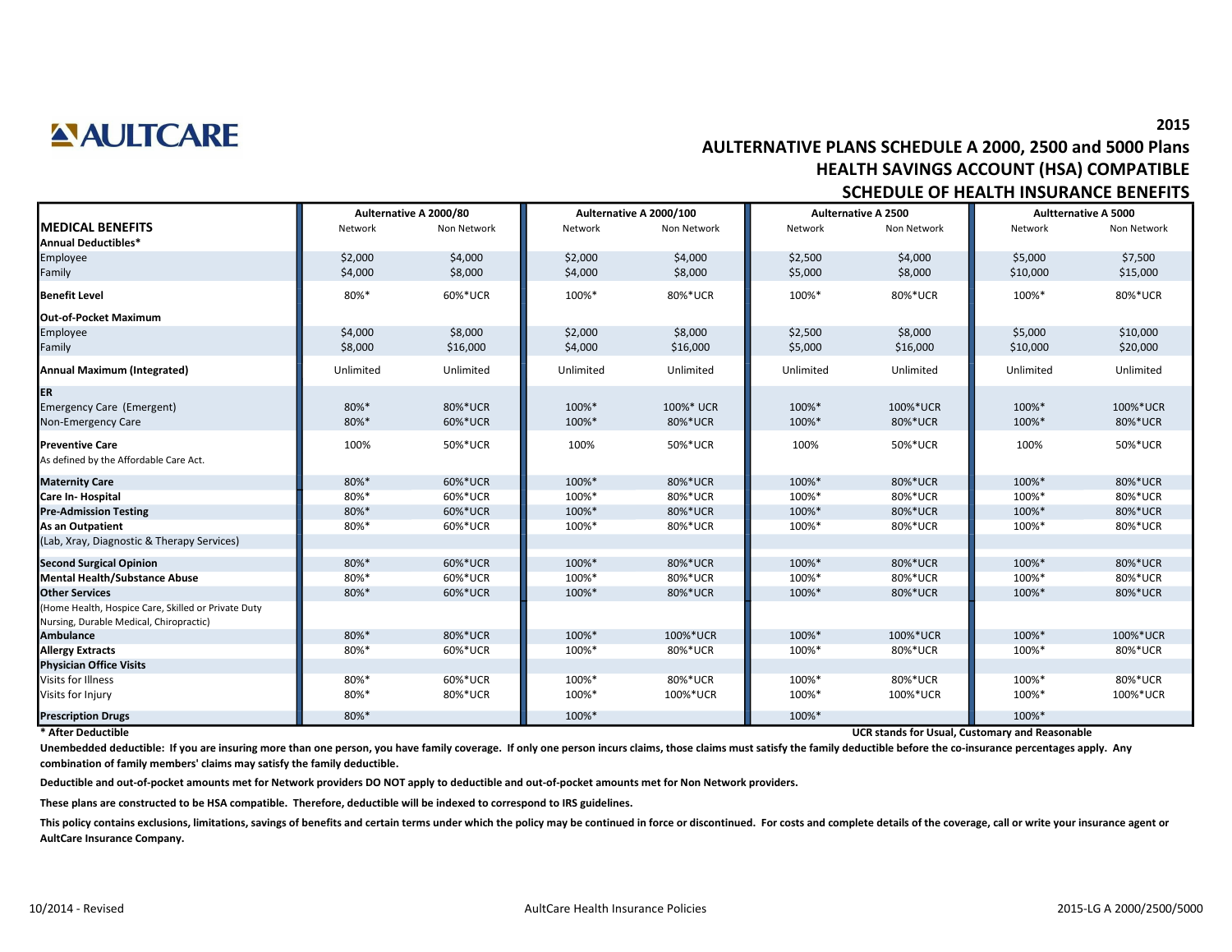## **ANULTCARE**

### **AULTERNATIVE PLANS SCHEDULE A 2000, 2500 and 5000 Plans HEALTH SAVINGS ACCOUNT (HSA) COMPATIBLE SCHEDULE OF HEALTH INSURANCE BENEFITS**

|                                                     | Aulternative A 2000/80 |             |           | Aulternative A 2000/100 |           | <b>Aulternative A 2500</b> | <b>Aultternative A 5000</b> |             |
|-----------------------------------------------------|------------------------|-------------|-----------|-------------------------|-----------|----------------------------|-----------------------------|-------------|
| <b>MEDICAL BENEFITS</b>                             | Network                | Non Network | Network   | Non Network             | Network   | Non Network                | Network                     | Non Network |
| Annual Deductibles*                                 |                        |             |           |                         |           |                            |                             |             |
| Employee                                            | \$2,000                | \$4,000     | \$2,000   | \$4,000                 | \$2,500   | \$4,000                    | \$5,000                     | \$7,500     |
| Family                                              | \$4,000                | \$8,000     | \$4,000   | \$8,000                 | \$5,000   | \$8,000                    | \$10,000                    | \$15,000    |
| <b>Benefit Level</b>                                | 80%*                   | 60%*UCR     | 100%*     | 80%*UCR                 | 100%*     | 80%*UCR                    | 100%*                       | 80%*UCR     |
| <b>Out-of-Pocket Maximum</b>                        |                        |             |           |                         |           |                            |                             |             |
| Employee                                            | \$4,000                | \$8,000     | \$2,000   | \$8,000                 | \$2,500   | \$8,000                    | \$5,000                     | \$10,000    |
| Family                                              | \$8,000                | \$16,000    | \$4,000   | \$16,000                | \$5,000   | \$16,000                   | \$10,000                    | \$20,000    |
| <b>Annual Maximum (Integrated)</b>                  | Unlimited              | Unlimited   | Unlimited | Unlimited               | Unlimited | Unlimited                  | Unlimited                   | Unlimited   |
| ER                                                  |                        |             |           |                         |           |                            |                             |             |
| <b>Emergency Care (Emergent)</b>                    | 80%*                   | 80%*UCR     | 100%*     | 100%* UCR               | 100%*     | 100%*UCR                   | 100%*                       | 100%*UCR    |
| Non-Emergency Care                                  | 80%*                   | 60%*UCR     | 100%*     | 80%*UCR                 | 100%*     | 80%*UCR                    | 100%*                       | 80%*UCR     |
| <b>Preventive Care</b>                              | 100%                   | 50%*UCR     | 100%      | 50%*UCR                 | 100%      | 50%*UCR                    | 100%                        | 50%*UCR     |
| As defined by the Affordable Care Act.              |                        |             |           |                         |           |                            |                             |             |
| <b>Maternity Care</b>                               | 80%*                   | 60%*UCR     | 100%*     | 80%*UCR                 | 100%*     | 80%*UCR                    | 100%*                       | 80%*UCR     |
| Care In-Hospital                                    | 80%*                   | 60%*UCR     | 100%*     | 80%*UCR                 | 100%*     | 80%*UCR                    | 100%*                       | 80%*UCR     |
| <b>Pre-Admission Testing</b>                        | 80%*                   | 60%*UCR     | 100%*     | 80%*UCR                 | 100%*     | 80%*UCR                    | 100%*                       | 80%*UCR     |
| <b>As an Outpatient</b>                             | 80%*                   | 60%*UCR     | 100%*     | 80%*UCR                 | 100%*     | 80%*UCR                    | 100%*                       | 80%*UCR     |
| (Lab, Xray, Diagnostic & Therapy Services)          |                        |             |           |                         |           |                            |                             |             |
| <b>Second Surgical Opinion</b>                      | 80%*                   | 60%*UCR     | 100%*     | 80%*UCR                 | 100%*     | 80%*UCR                    | 100%*                       | 80%*UCR     |
| <b>Mental Health/Substance Abuse</b>                | 80%*                   | 60%*UCR     | 100%*     | 80%*UCR                 | 100%*     | 80%*UCR                    | 100%*                       | 80%*UCR     |
| <b>Other Services</b>                               | 80%*                   | 60%*UCR     | 100%*     | 80%*UCR                 | 100%*     | 80%*UCR                    | 100%*                       | 80%*UCR     |
| (Home Health, Hospice Care, Skilled or Private Duty |                        |             |           |                         |           |                            |                             |             |
| Nursing, Durable Medical, Chiropractic)             |                        |             |           |                         |           |                            |                             |             |
| <b>Ambulance</b>                                    | 80%*                   | 80%*UCR     | 100%*     | 100%*UCR                | 100%*     | 100%*UCR                   | 100%*                       | 100%*UCR    |
| <b>Allergy Extracts</b>                             | 80%*                   | 60%*UCR     | 100%*     | 80%*UCR                 | 100%*     | 80%*UCR                    | 100%*                       | 80%*UCR     |
| <b>Physician Office Visits</b>                      |                        |             |           |                         |           |                            |                             |             |
| Visits for Illness                                  | 80%*                   | 60%*UCR     | 100%*     | 80%*UCR                 | 100%*     | 80%*UCR                    | 100%*                       | 80%*UCR     |
| Visits for Injury                                   | 80%*                   | 80%*UCR     | 100%*     | 100%*UCR                | 100%*     | 100%*UCR                   | 100%*                       | 100%*UCR    |
| <b>Prescription Drugs</b>                           | 80%*                   |             | 100%*     |                         | 100%*     |                            | 100%*                       |             |

#### **\* After Deductible**

**UCR stands for Usual, Customary and Reasonable**

Unembedded deductible: If you are insuring more than one person, you have family coverage. If only one person incurs claims, those claims must satisfy the family deductible before the co-insurance percentages apply. Any **combination of family members' claims may satisfy the family deductible.**

**Deductible and out-of-pocket amounts met for Network providers DO NOT apply to deductible and out-of-pocket amounts met for Non Network providers.**

**These plans are constructed to be HSA compatible. Therefore, deductible will be indexed to correspond to IRS guidelines.**

This policy contains exclusions, limitations, savings of benefits and certain terms under which the policy may be continued in force or discontinued. For costs and complete details of the coverage, call or write your insur **AultCare Insurance Company.**

**2015**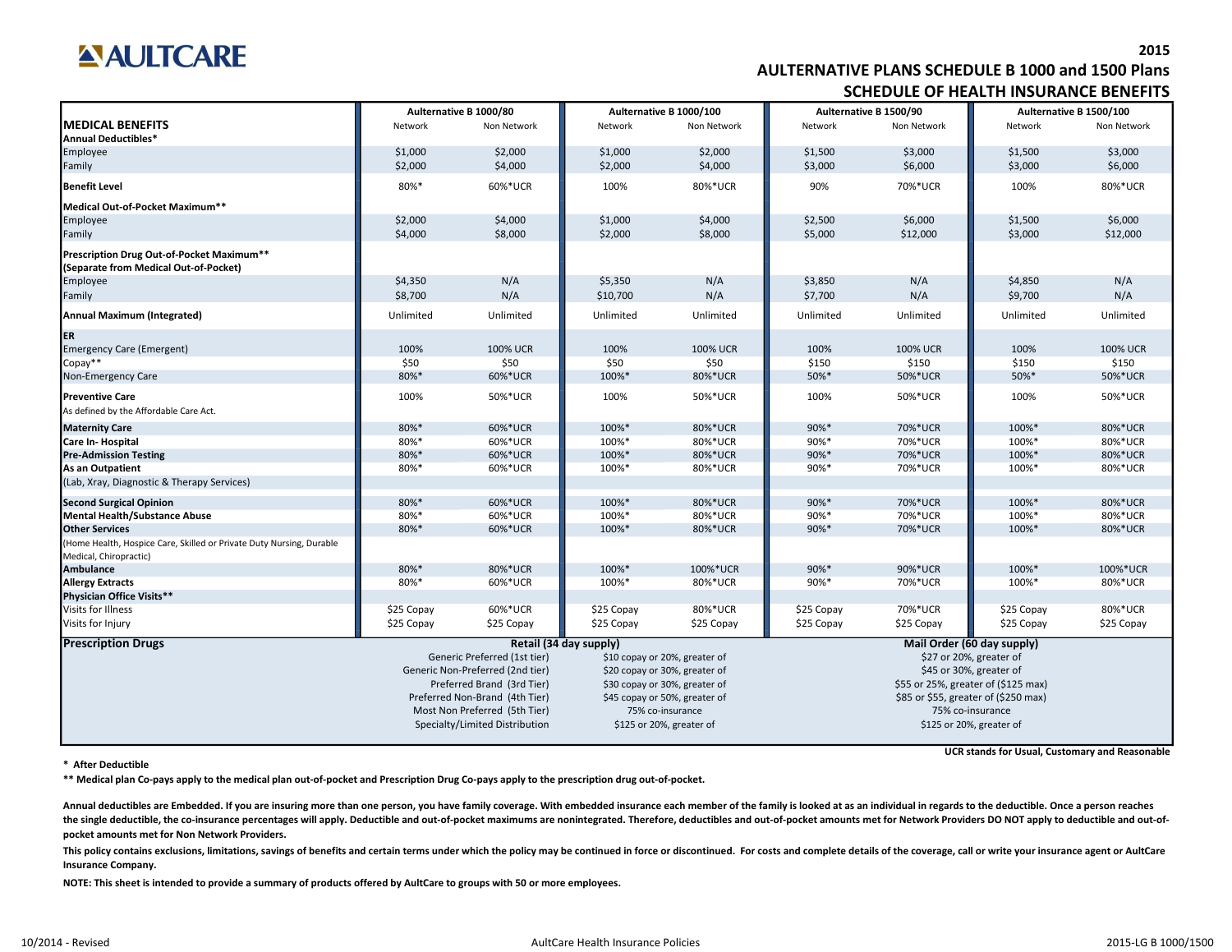## **ANULTCARE**

### **AULTERNATIVE PLANS SCHEDULE B 1000 and 1500 Plans SCHEDULE OF HEALTH INSURANCE BENEFITS**

|                                                                                    | Aulternative B 1000/80 |                                  |                        | Aulternative B 1000/100       |                          | Aulternative B 1500/90               | Aulternative B 1500/100    |                 |  |
|------------------------------------------------------------------------------------|------------------------|----------------------------------|------------------------|-------------------------------|--------------------------|--------------------------------------|----------------------------|-----------------|--|
| <b>MEDICAL BENEFITS</b><br><b>Annual Deductibles*</b>                              | Network                | Non Network                      | Network                | Non Network                   | Network                  | Non Network                          | Network                    | Non Network     |  |
| Employee                                                                           | \$1,000                | \$2,000                          | \$1,000                | \$2,000                       | \$1,500                  | \$3,000                              | \$1,500                    | \$3,000         |  |
| Family                                                                             | \$2,000                | \$4,000                          | \$2,000                | \$4,000                       | \$3,000                  | \$6,000                              | \$3,000                    | \$6,000         |  |
| <b>Benefit Level</b>                                                               | 80%*                   | 60%*UCR                          | 100%                   | 80%*UCR                       | 90%                      | 70%*UCR                              | 100%                       | 80%*UCR         |  |
| Medical Out-of-Pocket Maximum**                                                    |                        |                                  |                        |                               |                          |                                      |                            |                 |  |
| Employee                                                                           | \$2,000                | \$4,000                          | \$1,000                | \$4,000                       | \$2,500                  | \$6,000                              | \$1,500                    | \$6,000         |  |
| Family                                                                             | \$4,000                | \$8,000                          | \$2,000                | \$8,000                       | \$5,000                  | \$12,000                             | \$3,000                    | \$12,000        |  |
| Prescription Drug Out-of-Pocket Maximum**<br>(Separate from Medical Out-of-Pocket) |                        |                                  |                        |                               |                          |                                      |                            |                 |  |
| Employee                                                                           | \$4,350                | N/A                              | \$5,350                | N/A                           | \$3,850                  | N/A                                  | \$4,850                    | N/A             |  |
| Family                                                                             | \$8,700                | N/A                              | \$10,700               | N/A                           | \$7,700                  | N/A                                  | \$9,700                    | N/A             |  |
| <b>Annual Maximum (Integrated)</b>                                                 | Unlimited              | Unlimited                        | Unlimited              | Unlimited                     | Unlimited                | Unlimited                            | Unlimited                  | Unlimited       |  |
| ER                                                                                 |                        |                                  |                        |                               |                          |                                      |                            |                 |  |
| <b>Emergency Care (Emergent)</b>                                                   | 100%                   | <b>100% UCR</b>                  | 100%                   | <b>100% UCR</b>               | 100%                     | <b>100% UCR</b>                      | 100%                       | <b>100% UCR</b> |  |
| Copay**                                                                            | \$50                   | \$50                             | \$50                   | \$50                          | \$150                    | \$150                                | \$150                      | \$150           |  |
| Non-Emergency Care                                                                 | 80%*                   | 60%*UCR                          | 100%*                  | 80%*UCR                       | 50%*                     | 50%*UCR                              | 50%*                       | 50%*UCR         |  |
| <b>Preventive Care</b><br>As defined by the Affordable Care Act.                   | 100%                   | 50%*UCR                          | 100%                   | 50%*UCR                       | 100%                     | 50%*UCR                              | 100%                       | 50%*UCR         |  |
| <b>Maternity Care</b>                                                              | 80%*                   | 60%*UCR                          | 100%*                  | 80%*UCR                       | 90%*                     | 70%*UCR                              | 100%*                      | 80%*UCR         |  |
| Care In-Hospital                                                                   | 80%*                   | 60%*UCR                          | 100%*                  | 80%*UCR                       | 90%*                     | 70%*UCR                              | 100%*                      | 80%*UCR         |  |
| <b>Pre-Admission Testing</b>                                                       | 80%*                   | 60%*UCR                          | 100%*                  | 80%*UCR                       | 90%*                     | 70%*UCR                              | 100%*                      | 80%*UCR         |  |
| <b>As an Outpatient</b>                                                            | 80%*                   | 60%*UCR                          | 100%*                  | 80%*UCR                       | 90%*                     | 70%*UCR                              | 100%*                      | 80%*UCR         |  |
| (Lab, Xray, Diagnostic & Therapy Services)                                         |                        |                                  |                        |                               |                          |                                      |                            |                 |  |
| <b>Second Surgical Opinion</b>                                                     | 80%*                   | 60%*UCR                          | 100%*                  | 80%*UCR                       | 90%*                     | 70%*UCR                              | 100%*                      | 80%*UCR         |  |
| <b>Mental Health/Substance Abuse</b>                                               | 80%*                   | 60%*UCR                          | 100%*                  | 80%*UCR                       | 90%*                     | 70%*UCR                              | 100%*                      | 80%*UCR         |  |
| <b>Other Services</b>                                                              | 80%*                   | 60%*UCR                          | 100%*                  | 80%*UCR                       | 90%*                     | 70%*UCR                              | 100%*                      | 80%*UCR         |  |
| (Home Health, Hospice Care, Skilled or Private Duty Nursing, Durable               |                        |                                  |                        |                               |                          |                                      |                            |                 |  |
| Medical, Chiropractic)                                                             |                        |                                  |                        |                               |                          |                                      |                            |                 |  |
| <b>Ambulance</b>                                                                   | 80%*                   | 80%*UCR                          | 100%*                  | 100%*UCR                      | 90%*                     | 90%*UCR                              | 100%*                      | 100%*UCR        |  |
| <b>Allergy Extracts</b>                                                            | 80%*                   | 60%*UCR                          | 100%*                  | 80%*UCR                       | 90%*                     | 70%*UCR                              | 100%*                      | 80%*UCR         |  |
| Physician Office Visits**                                                          |                        |                                  |                        |                               |                          |                                      |                            |                 |  |
| Visits for Illness                                                                 | \$25 Copay             | 60%*UCR                          | \$25 Copay             | 80%*UCR                       | \$25 Copay               | 70%*UCR                              | \$25 Copay                 | 80%*UCR         |  |
| Visits for Injury                                                                  | \$25 Copay             | \$25 Copay                       | \$25 Copay             | \$25 Copay                    | \$25 Copay               | \$25 Copay                           | \$25 Copay                 | \$25 Copay      |  |
| <b>Prescription Drugs</b>                                                          |                        |                                  | Retail (34 day supply) |                               |                          |                                      | Mail Order (60 day supply) |                 |  |
|                                                                                    |                        | Generic Preferred (1st tier)     |                        | \$10 copay or 20%, greater of | \$27 or 20%, greater of  |                                      |                            |                 |  |
|                                                                                    |                        | Generic Non-Preferred (2nd tier) |                        | \$20 copay or 30%, greater of | \$45 or 30%, greater of  |                                      |                            |                 |  |
|                                                                                    |                        | Preferred Brand (3rd Tier)       |                        | \$30 copay or 30%, greater of |                          | \$55 or 25%, greater of (\$125 max)  |                            |                 |  |
|                                                                                    |                        | Preferred Non-Brand (4th Tier)   |                        | \$45 copay or 50%, greater of |                          | \$85 or \$55, greater of (\$250 max) |                            |                 |  |
|                                                                                    |                        | Most Non Preferred (5th Tier)    |                        | 75% co-insurance              | 75% co-insurance         |                                      |                            |                 |  |
|                                                                                    |                        | Specialty/Limited Distribution   |                        | \$125 or 20%, greater of      | \$125 or 20%, greater of |                                      |                            |                 |  |

**\* After Deductible**

**UCR stands for Usual, Customary and Reasonable**

\*\* Medical plan Co-pays apply to the medical plan out-of-pocket and Prescription Drug Co-pays apply to the prescription drug out-of-pocket.

Annual deductibles are Embedded. If you are insuring more than one person, you have family coverage. With embedded insurance each member of the family is looked at as an individual in regards to the deductible. Once a pers the single deductible, the co-insurance percentages will apply. Deductible and out-of-pocket maximums are nonintegrated. Therefore, deductibles and out-of-pocket amounts met for Network Providers DO NOT apply to deductible **pocket amounts met for Non Network Providers.**

This policy contains exclusions, limitations, savings of benefits and certain terms under which the policy may be continued in force or discontinued. For costs and complete details of the coverage, call or write your insur **Insurance Company.**

NOTE: This sheet is intended to provide a summary of products offered by AultCare to groups with 50 or more employees.

**2015**